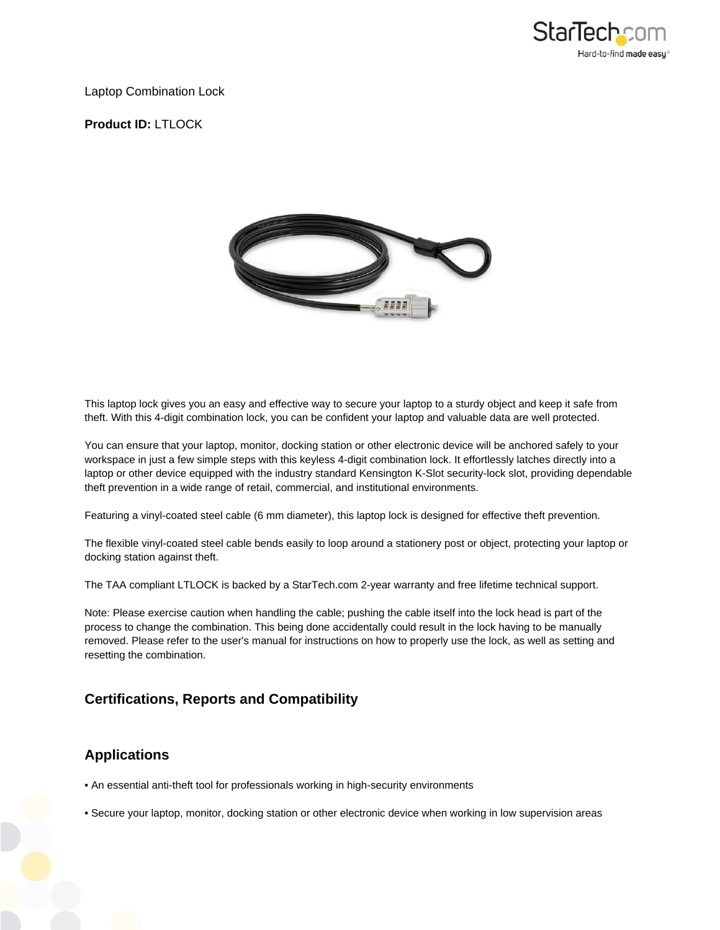

#### Laptop Combination Lock

### **Product ID:** LTLOCK



This laptop lock gives you an easy and effective way to secure your laptop to a sturdy object and keep it safe from theft. With this 4-digit combination lock, you can be confident your laptop and valuable data are well protected.

You can ensure that your laptop, monitor, docking station or other electronic device will be anchored safely to your workspace in just a few simple steps with this keyless 4-digit combination lock. It effortlessly latches directly into a laptop or other device equipped with the industry standard Kensington K-Slot security-lock slot, providing dependable theft prevention in a wide range of retail, commercial, and institutional environments.

Featuring a vinyl-coated steel cable (6 mm diameter), this laptop lock is designed for effective theft prevention.

The flexible vinyl-coated steel cable bends easily to loop around a stationery post or object, protecting your laptop or docking station against theft.

The TAA compliant LTLOCK is backed by a StarTech.com 2-year warranty and free lifetime technical support.

Note: Please exercise caution when handling the cable; pushing the cable itself into the lock head is part of the process to change the combination. This being done accidentally could result in the lock having to be manually removed. Please refer to the user's manual for instructions on how to properly use the lock, as well as setting and resetting the combination.

### **Certifications, Reports and Compatibility**

# **Applications**

- An essential anti-theft tool for professionals working in high-security environments
- Secure your laptop, monitor, docking station or other electronic device when working in low supervision areas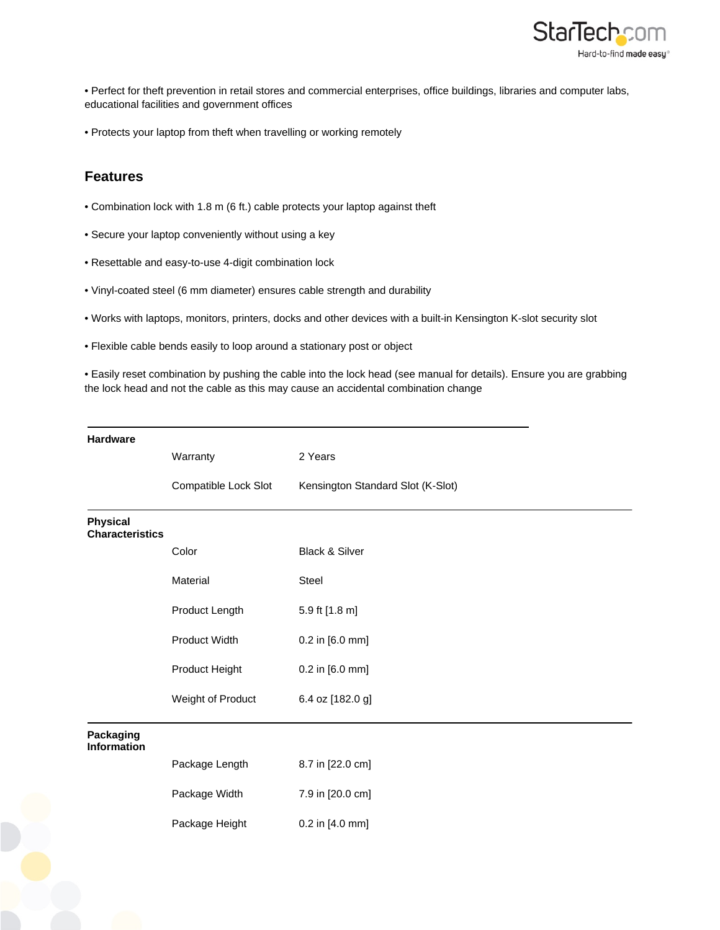

• Perfect for theft prevention in retail stores and commercial enterprises, office buildings, libraries and computer labs, educational facilities and government offices

• Protects your laptop from theft when travelling or working remotely

## **Features**

- Combination lock with 1.8 m (6 ft.) cable protects your laptop against theft
- Secure your laptop conveniently without using a key
- Resettable and easy-to-use 4-digit combination lock
- Vinyl-coated steel (6 mm diameter) ensures cable strength and durability
- Works with laptops, monitors, printers, docks and other devices with a built-in Kensington K-slot security slot
- Flexible cable bends easily to loop around a stationary post or object

• Easily reset combination by pushing the cable into the lock head (see manual for details). Ensure you are grabbing the lock head and not the cable as this may cause an accidental combination change

| <b>Hardware</b>                           |                      |                                   |
|-------------------------------------------|----------------------|-----------------------------------|
|                                           | Warranty             | 2 Years                           |
|                                           | Compatible Lock Slot | Kensington Standard Slot (K-Slot) |
| <b>Physical</b><br><b>Characteristics</b> |                      |                                   |
|                                           | Color                | <b>Black &amp; Silver</b>         |
|                                           | Material             | Steel                             |
|                                           | Product Length       | 5.9 ft [1.8 m]                    |
|                                           | Product Width        | 0.2 in [6.0 mm]                   |
|                                           | Product Height       | 0.2 in [6.0 mm]                   |
|                                           | Weight of Product    | 6.4 oz [182.0 g]                  |
| Packaging<br><b>Information</b>           |                      |                                   |
|                                           | Package Length       | 8.7 in [22.0 cm]                  |
|                                           | Package Width        | 7.9 in [20.0 cm]                  |
|                                           | Package Height       | 0.2 in [4.0 mm]                   |